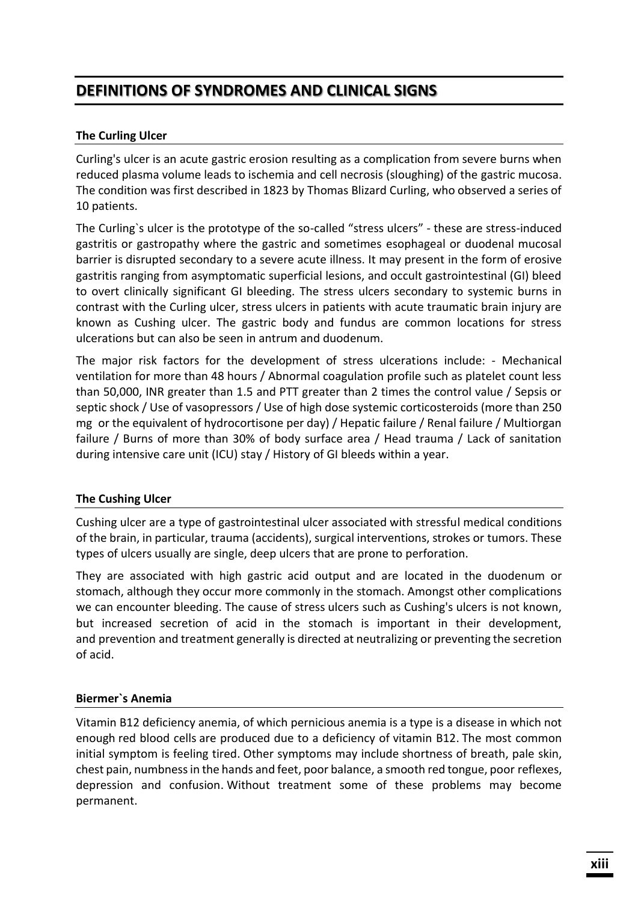# **DEFINITIONS OF SYNDROMES AND CLINICAL SIGNS**

# **The Curling Ulcer**

Curling's ulcer is an acute gastric erosion resulting as a complication from severe burns when reduced plasma volume leads to ischemia and cell necrosis (sloughing) of the gastric mucosa. The condition was first described in 1823 by Thomas Blizard Curling, who observed a series of 10 patients.

The Curling`s ulcer is the prototype of the so-called "stress ulcers" - these are stress-induced gastritis or gastropathy where the gastric and sometimes esophageal or duodenal mucosal barrier is disrupted secondary to a severe acute illness. It may present in the form of erosive gastritis ranging from asymptomatic superficial lesions, and occult gastrointestinal (GI) bleed to overt clinically significant GI bleeding. The stress ulcers secondary to systemic burns in contrast with the Curling ulcer, stress ulcers in patients with acute traumatic brain injury are known as Cushing ulcer. The gastric body and fundus are common locations for stress ulcerations but can also be seen in antrum and duodenum.

The major risk factors for the development of stress ulcerations include: - Mechanical ventilation for more than 48 hours / Abnormal coagulation profile such as platelet count less than 50,000, INR greater than 1.5 and PTT greater than 2 times the control value / Sepsis or septic shock / Use of vasopressors / Use of high dose systemic corticosteroids (more than 250 mg or the equivalent of hydrocortisone per day) / Hepatic failure / Renal failure / Multiorgan failure / Burns of more than 30% of body surface area / Head trauma / Lack of sanitation during intensive care unit (ICU) stay / History of GI bleeds within a year.

## **The Cushing Ulcer**

Cushing ulcer are a type of gastrointestinal ulcer associated with stressful medical conditions of the brain, in particular, trauma (accidents), surgical interventions, strokes or tumors. These types of ulcers usually are single, deep ulcers that are prone to perforation.

They are associated with high gastric acid output and are located in the duodenum or stomach, although they occur more commonly in the stomach. Amongst other complications we can encounter bleeding. The cause of stress ulcers such as Cushing's ulcers is not known, but increased secretion of acid in the stomach is important in their development, and prevention and treatment generally is directed at neutralizing or preventing the secretion of acid.

## **Biermer`s Anemia**

Vitamin B12 deficiency anemia, of which pernicious anemia is a type is a disease in which not enough red blood cells are produced due to a deficiency of vitamin B12. The most common initial symptom is feeling tired. Other symptoms may include shortness of breath, pale skin, chest pain, numbness in the hands and feet, poor balance, a smooth red tongue, poor reflexes, depression and confusion. Without treatment some of these problems may become permanent.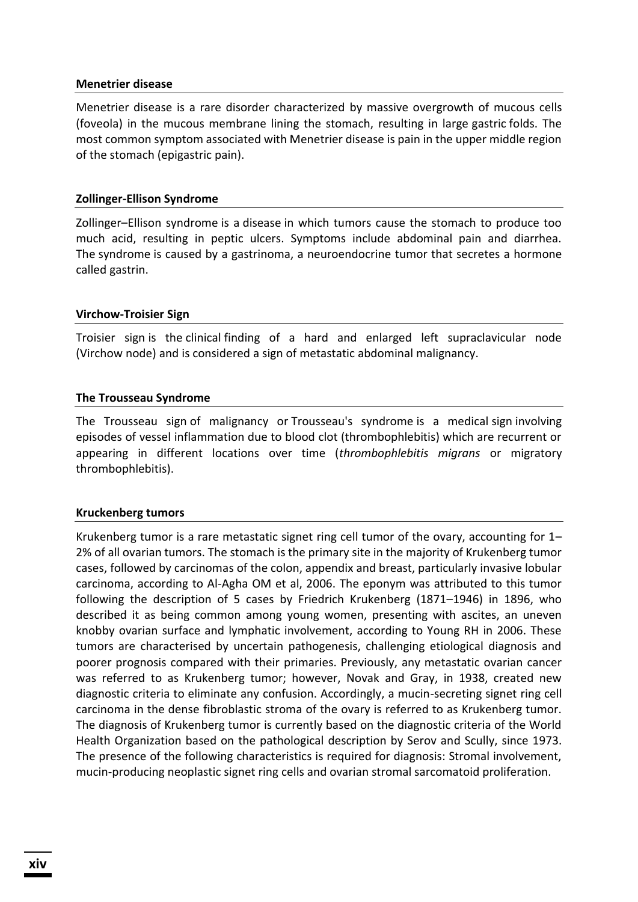#### **Menetrier disease**

Menetrier disease is a rare disorder characterized by massive overgrowth of mucous cells (foveola) in the mucous membrane lining the stomach, resulting in large gastric folds. The most common symptom associated with Menetrier disease is pain in the upper middle region of the stomach (epigastric pain).

#### **Zollinger-Ellison Syndrome**

Zollinger–Ellison syndrome is a disease in which tumors cause the stomach to produce too much acid, resulting in peptic ulcers. Symptoms include abdominal pain and diarrhea. The syndrome is caused by a gastrinoma, a neuroendocrine tumor that secretes a hormone called gastrin.

#### **Virchow-Troisier Sign**

Troisier sign is the clinical finding of a hard and enlarged left supraclavicular node (Virchow node) and is considered a sign of metastatic abdominal malignancy.

#### **The Trousseau Syndrome**

The Trousseau sign of malignancy or Trousseau's syndrome is a medical sign involving episodes of vessel inflammation due to blood clot (thrombophlebitis) which are recurrent or appearing in different locations over time (*thrombophlebitis migrans* or migratory thrombophlebitis).

#### **Kruckenberg tumors**

Krukenberg tumor is a rare metastatic signet ring cell tumor of the ovary, accounting for 1– 2% of all ovarian tumors. The stomach is the primary site in the majority of Krukenberg tumor cases, followed by carcinomas of the colon, appendix and breast, particularly invasive lobular carcinoma, according to Al-Agha OM et al, 2006. The eponym was attributed to this tumor following the description of 5 cases by Friedrich Krukenberg (1871–1946) in 1896, who described it as being common among young women, presenting with ascites, an uneven knobby ovarian surface and lymphatic involvement, according to Young RH in 2006. These tumors are characterised by uncertain pathogenesis, challenging etiological diagnosis and poorer prognosis compared with their primaries. Previously, any metastatic ovarian cancer was referred to as Krukenberg tumor; however, Novak and Gray, in 1938, created new diagnostic criteria to eliminate any confusion. Accordingly, a mucin-secreting signet ring cell carcinoma in the dense fibroblastic stroma of the ovary is referred to as Krukenberg tumor. The diagnosis of Krukenberg tumor is currently based on the diagnostic criteria of the World Health Organization based on the pathological description by Serov and Scully, since 1973. The presence of the following characteristics is required for diagnosis: Stromal involvement, mucin-producing neoplastic signet ring cells and ovarian stromal sarcomatoid proliferation.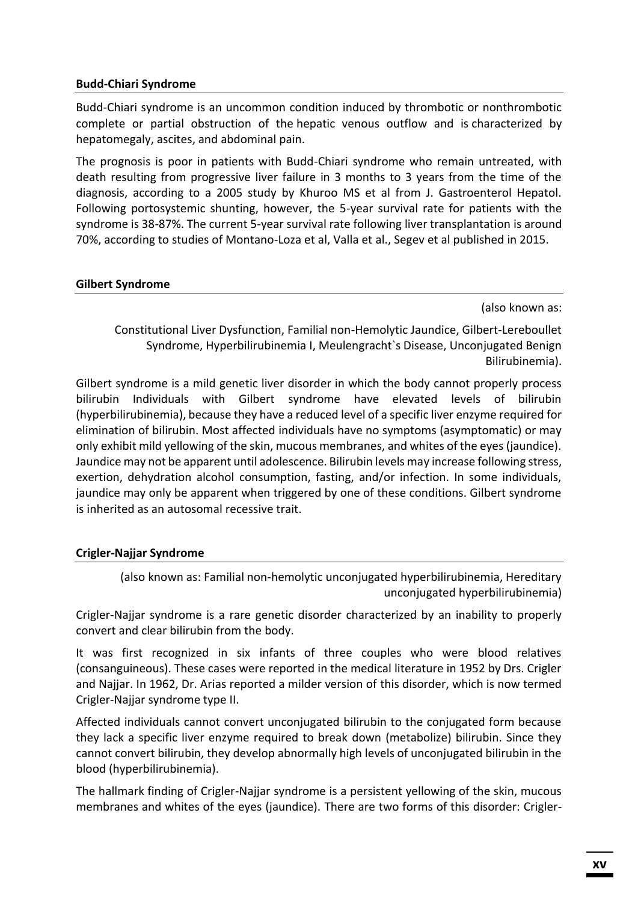#### **Budd-Chiari Syndrome**

Budd-Chiari syndrome is an uncommon condition induced by thrombotic or nonthrombotic complete or partial obstruction of the hepatic venous outflow and is characterized by hepatomegaly, ascites, and abdominal pain.

The prognosis is poor in patients with Budd-Chiari syndrome who remain untreated, with death resulting from progressive liver failure in 3 months to 3 years from the time of the diagnosis, according to a 2005 study by Khuroo MS et al from J. Gastroenterol Hepatol. Following portosystemic shunting, however, the 5-year survival rate for patients with the syndrome is 38-87%. The current 5-year survival rate following liver transplantation is around 70%, according to studies of Montano-Loza et al, Valla et al., Segev et al published in 2015.

#### **Gilbert Syndrome**

(also known as:

Constitutional Liver Dysfunction, Familial non-Hemolytic Jaundice, Gilbert-Lereboullet Syndrome, Hyperbilirubinemia I, Meulengracht`s Disease, Unconjugated Benign Bilirubinemia).

Gilbert syndrome is a mild genetic liver disorder in which the body cannot properly process bilirubin Individuals with Gilbert syndrome have elevated levels of bilirubin (hyperbilirubinemia), because they have a reduced level of a specific liver enzyme required for elimination of bilirubin. Most affected individuals have no symptoms (asymptomatic) or may only exhibit mild yellowing of the skin, mucous membranes, and whites of the eyes (jaundice). Jaundice may not be apparent until adolescence. Bilirubin levels may increase following stress, exertion, dehydration alcohol consumption, fasting, and/or infection. In some individuals, jaundice may only be apparent when triggered by one of these conditions. Gilbert syndrome is inherited as an autosomal recessive trait.

#### **Crigler-Najjar Syndrome**

(also known as: Familial non-hemolytic unconjugated hyperbilirubinemia, Hereditary unconjugated hyperbilirubinemia)

Crigler-Najjar syndrome is a rare genetic disorder characterized by an inability to properly convert and clear bilirubin from the body.

It was first recognized in six infants of three couples who were blood relatives (consanguineous). These cases were reported in the medical literature in 1952 by Drs. Crigler and Najjar. In 1962, Dr. Arias reported a milder version of this disorder, which is now termed Crigler-Najjar syndrome type II.

Affected individuals cannot convert unconjugated bilirubin to the conjugated form because they lack a specific liver enzyme required to break down (metabolize) bilirubin. Since they cannot convert bilirubin, they develop abnormally high levels of unconjugated bilirubin in the blood (hyperbilirubinemia).

The hallmark finding of Crigler-Najjar syndrome is a persistent yellowing of the skin, mucous membranes and whites of the eyes (jaundice). There are two forms of this disorder: Crigler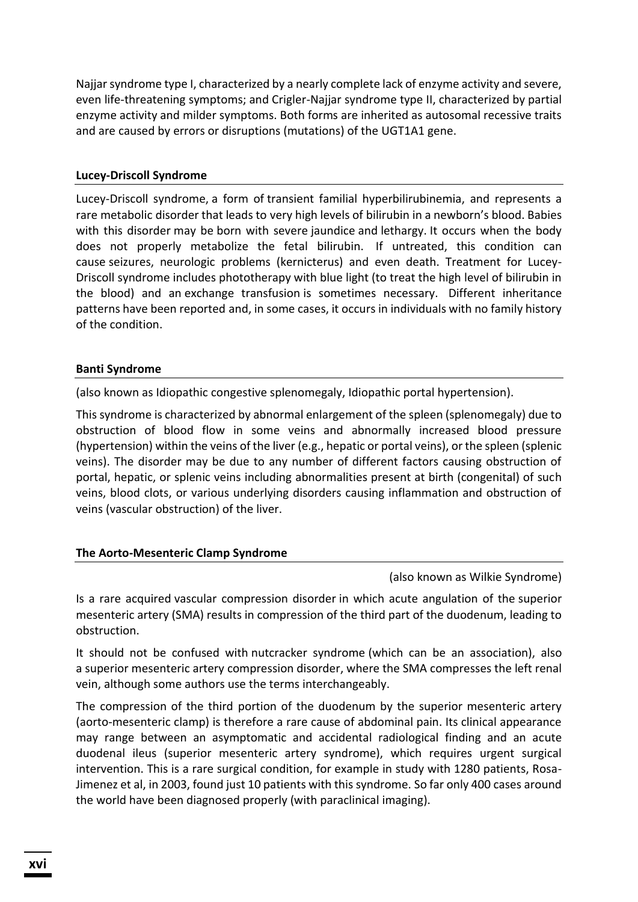Najjar syndrome type I, characterized by a nearly complete lack of enzyme activity and severe, even life-threatening symptoms; and Crigler-Najjar syndrome type II, characterized by partial enzyme activity and milder symptoms. Both forms are inherited as autosomal recessive traits and are caused by errors or disruptions (mutations) of the UGT1A1 gene.

#### **Lucey-Driscoll Syndrome**

Lucey-Driscoll syndrome, a form of transient familial hyperbilirubinemia, and represents a rare metabolic disorder that leads to very high levels of bilirubin in a newborn's blood. Babies with this disorder may be born with severe jaundice and lethargy. It occurs when the body does not properly metabolize the fetal bilirubin. If untreated, this condition can cause seizures, neurologic problems (kernicterus) and even death. Treatment for Lucey-Driscoll syndrome includes phototherapy with blue light (to treat the high level of bilirubin in the blood) and an exchange transfusion is sometimes necessary. Different inheritance patterns have been reported and, in some cases, it occurs in individuals with no family history of the condition.

## **Banti Syndrome**

(also known as Idiopathic congestive splenomegaly, Idiopathic portal hypertension).

This syndrome is characterized by abnormal enlargement of the spleen (splenomegaly) due to obstruction of blood flow in some veins and abnormally increased blood pressure (hypertension) within the veins of the liver (e.g., hepatic or portal veins), or the spleen (splenic veins). The disorder may be due to any number of different factors causing obstruction of portal, hepatic, or splenic veins including abnormalities present at birth (congenital) of such veins, blood clots, or various underlying disorders causing inflammation and obstruction of veins (vascular obstruction) of the liver.

## **The Aorto-Mesenteric Clamp Syndrome**

#### (also known as Wilkie Syndrome)

Is a rare acquired vascular compression disorder in which acute angulation of the superior mesenteric artery (SMA) results in compression of the third part of the duodenum, leading to obstruction.

It should not be confused with nutcracker syndrome (which can be an association), also a superior mesenteric artery compression disorder, where the SMA compresses the left renal vein, although some authors use the terms interchangeably.

The compression of the third portion of the duodenum by the superior mesenteric artery (aorto-mesenteric clamp) is therefore a rare cause of abdominal pain. Its clinical appearance may range between an asymptomatic and accidental radiological finding and an acute duodenal ileus (superior mesenteric artery syndrome), which requires urgent surgical intervention. This is a rare surgical condition, for example in study with 1280 patients, Rosa-Jimenez et al, in 2003, found just 10 patients with this syndrome. So far only 400 cases around the world have been diagnosed properly (with paraclinical imaging).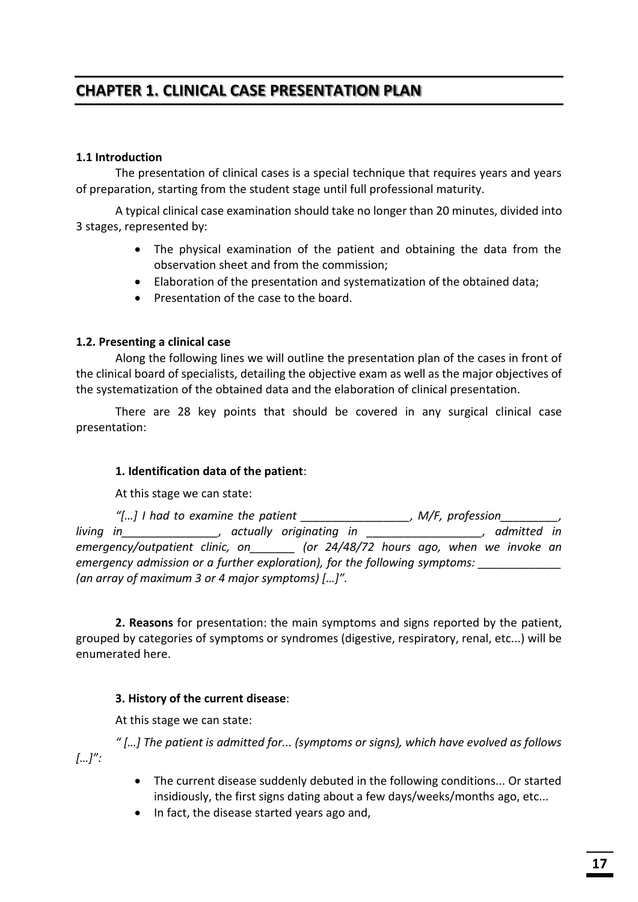# **CHAPTER 1. CLINICAL CASE PRESENTATION PLAN**

## **1.1 Introduction**

The presentation of clinical cases is a special technique that requires years and years of preparation, starting from the student stage until full professional maturity.

A typical clinical case examination should take no longer than 20 minutes, divided into 3 stages, represented by:

- The physical examination of the patient and obtaining the data from the observation sheet and from the commission;
- Elaboration of the presentation and systematization of the obtained data;
- Presentation of the case to the board.

#### **1.2. Presenting a clinical case**

Along the following lines we will outline the presentation plan of the cases in front of the clinical board of specialists, detailing the objective exam as well as the major objectives of the systematization of the obtained data and the elaboration of clinical presentation.

There are 28 key points that should be covered in any surgical clinical case presentation:

#### **1. Identification data of the patient**:

At this stage we can state:

|                                                                            | "[] I had to examine the patient                 |  |                                           |  | , $M/F$ , profession $\qquad \qquad$ , |  |  |             |  |  |
|----------------------------------------------------------------------------|--------------------------------------------------|--|-------------------------------------------|--|----------------------------------------|--|--|-------------|--|--|
| living in                                                                  |                                                  |  | actually originating in                   |  |                                        |  |  | admitted in |  |  |
|                                                                            | emergency/outpatient clinic, on                  |  | (or 24/48/72 hours ago, when we invoke an |  |                                        |  |  |             |  |  |
| emergency admission or a further exploration), for the following symptoms: |                                                  |  |                                           |  |                                        |  |  |             |  |  |
|                                                                            | (an array of maximum 3 or 4 major symptoms) []". |  |                                           |  |                                        |  |  |             |  |  |

**2. Reasons** for presentation: the main symptoms and signs reported by the patient, grouped by categories of symptoms or syndromes (digestive, respiratory, renal, etc...) will be enumerated here.

## **3. History of the current disease**:

At this stage we can state:

*" […] The patient is admitted for... (symptoms or signs), which have evolved as follows […]":* 

- The current disease suddenly debuted in the following conditions... Or started insidiously, the first signs dating about a few days/weeks/months ago, etc...
- In fact, the disease started years ago and,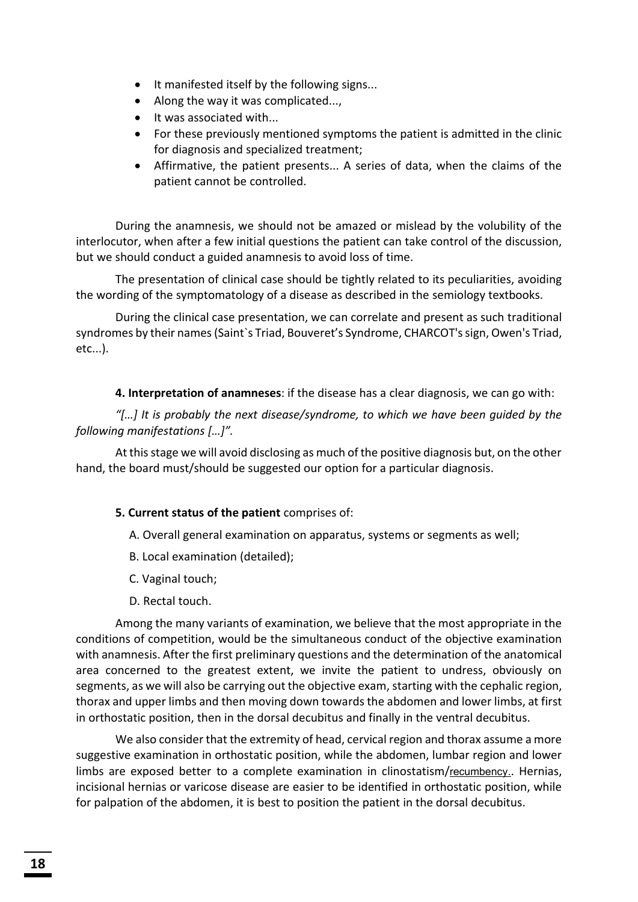- It manifested itself by the following signs...
- $\bullet$  Along the way it was complicated...,
- It was associated with...
- For these previously mentioned symptoms the patient is admitted in the clinic for diagnosis and specialized treatment;
- Affirmative, the patient presents... A series of data, when the claims of the patient cannot be controlled.

During the anamnesis, we should not be amazed or mislead by the volubility of the interlocutor, when after a few initial questions the patient can take control of the discussion, but we should conduct a guided anamnesis to avoid loss of time.

The presentation of clinical case should be tightly related to its peculiarities, avoiding the wording of the symptomatology of a disease as described in the semiology textbooks.

During the clinical case presentation, we can correlate and present as such traditional syndromes by their names (Saint`s Triad, Bouveret's Syndrome, CHARCOT's sign, Owen's Triad, etc...).

**4. Interpretation of anamneses**: if the disease has a clear diagnosis, we can go with:

*"[…] It is probably the next disease/syndrome, to which we have been guided by the following manifestations […]".* 

At this stage we will avoid disclosing as much of the positive diagnosis but, on the other hand, the board must/should be suggested our option for a particular diagnosis.

#### **5. Current status of the patient** comprises of:

- A. Overall general examination on apparatus, systems or segments as well;
- B. Local examination (detailed);
- C. Vaginal touch;
- D. Rectal touch.

Among the many variants of examination, we believe that the most appropriate in the conditions of competition, would be the simultaneous conduct of the objective examination with anamnesis. After the first preliminary questions and the determination of the anatomical area concerned to the greatest extent, we invite the patient to undress, obviously on segments, as we will also be carrying out the objective exam, starting with the cephalic region, thorax and upper limbs and then moving down towards the abdomen and lower limbs, at first in orthostatic position, then in the dorsal decubitus and finally in the ventral decubitus.

We also consider that the extremity of head, cervical region and thorax assume a more suggestive examination in orthostatic position, while the abdomen, lumbar region and lower limbs are exposed better to a complete examination in clinostatism/recumbency.. Hernias, incisional hernias or varicose disease are easier to be identified in orthostatic position, while for palpation of the abdomen, it is best to position the patient in the dorsal decubitus.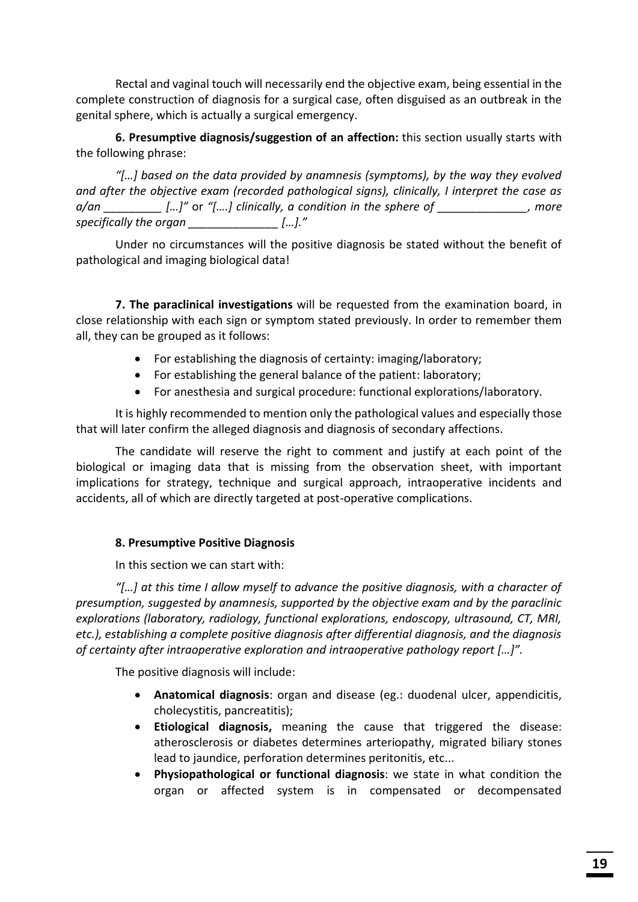Rectal and vaginal touch will necessarily end the objective exam, being essential in the complete construction of diagnosis for a surgical case, often disguised as an outbreak in the genital sphere, which is actually a surgical emergency.

**6. Presumptive diagnosis/suggestion of an affection:** this section usually starts with the following phrase:

*"[…] based on the data provided by anamnesis (symptoms), by the way they evolved and after the objective exam (recorded pathological signs), clinically, I interpret the case as a/an \_\_\_\_\_\_\_\_\_ […]"* or *"[….] clinically, a condition in the sphere of \_\_\_\_\_\_\_\_\_\_\_\_\_\_, more specifically the organ \_\_\_\_\_\_\_\_\_\_\_\_\_\_ […]."*

Under no circumstances will the positive diagnosis be stated without the benefit of pathological and imaging biological data!

**7. The paraclinical investigations** will be requested from the examination board, in close relationship with each sign or symptom stated previously. In order to remember them all, they can be grouped as it follows:

- For establishing the diagnosis of certainty: imaging/laboratory;
- $\bullet$  For establishing the general balance of the patient: laboratory;
- For anesthesia and surgical procedure: functional explorations/laboratory.

It is highly recommended to mention only the pathological values and especially those that will later confirm the alleged diagnosis and diagnosis of secondary affections.

The candidate will reserve the right to comment and justify at each point of the biological or imaging data that is missing from the observation sheet, with important implications for strategy, technique and surgical approach, intraoperative incidents and accidents, all of which are directly targeted at post-operative complications.

## **8. Presumptive Positive Diagnosis**

In this section we can start with:

*"[…] at this time I allow myself to advance the positive diagnosis, with a character of presumption, suggested by anamnesis, supported by the objective exam and by the paraclinic explorations (laboratory, radiology, functional explorations, endoscopy, ultrasound, CT, MRI, etc.), establishing a complete positive diagnosis after differential diagnosis, and the diagnosis of certainty after intraoperative exploration and intraoperative pathology report […]".* 

The positive diagnosis will include:

- **Anatomical diagnosis**: organ and disease (eg.: duodenal ulcer, appendicitis, cholecystitis, pancreatitis);
- **•** Etiological diagnosis, meaning the cause that triggered the disease: atherosclerosis or diabetes determines arteriopathy, migrated biliary stones lead to jaundice, perforation determines peritonitis, etc...
- **Physiopathological or functional diagnosis:** we state in what condition the organ or affected system is in compensated or decompensated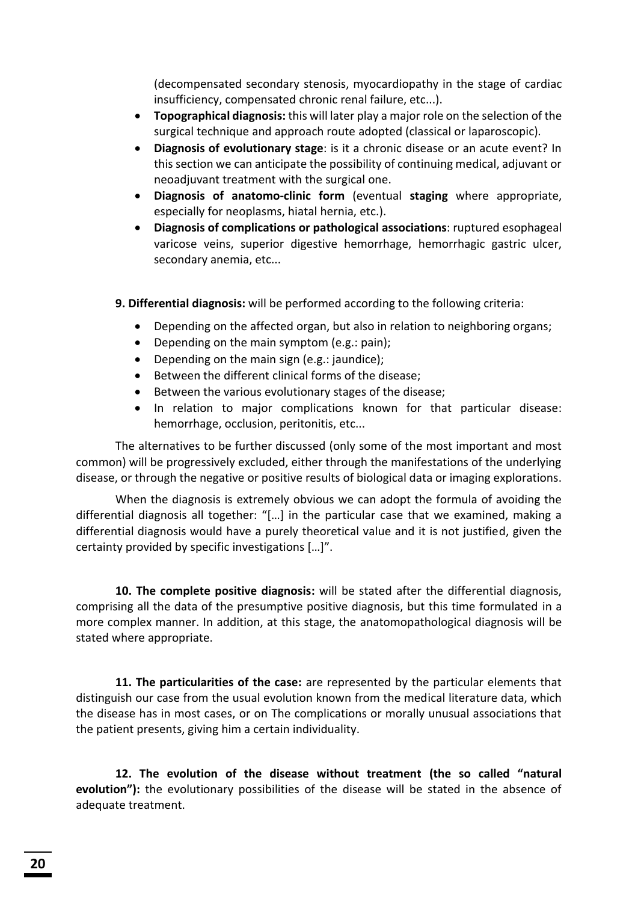(decompensated secondary stenosis, myocardiopathy in the stage of cardiac insufficiency, compensated chronic renal failure, etc...).

- **Topographical diagnosis:** this will later play a major role on the selection of the surgical technique and approach route adopted (classical or laparoscopic).
- x **Diagnosis of evolutionary stage**: is it a chronic disease or an acute event? In this section we can anticipate the possibility of continuing medical, adjuvant or neoadjuvant treatment with the surgical one.
- x **Diagnosis of anatomo-clinic form** (eventual **staging** where appropriate, especially for neoplasms, hiatal hernia, etc.).
- x **Diagnosis of complications or pathological associations**: ruptured esophageal varicose veins, superior digestive hemorrhage, hemorrhagic gastric ulcer, secondary anemia, etc...

**9. Differential diagnosis:** will be performed according to the following criteria:

- Depending on the affected organ, but also in relation to neighboring organs;
- **•** Depending on the main symptom (e.g.: pain);
- $\bullet$  Depending on the main sign (e.g.: jaundice);
- **•** Between the different clinical forms of the disease;
- **•** Between the various evolutionary stages of the disease;
- In relation to major complications known for that particular disease: hemorrhage, occlusion, peritonitis, etc...

The alternatives to be further discussed (only some of the most important and most common) will be progressively excluded, either through the manifestations of the underlying disease, or through the negative or positive results of biological data or imaging explorations.

When the diagnosis is extremely obvious we can adopt the formula of avoiding the differential diagnosis all together: "[…] in the particular case that we examined, making a differential diagnosis would have a purely theoretical value and it is not justified, given the certainty provided by specific investigations […]".

**10. The complete positive diagnosis:** will be stated after the differential diagnosis, comprising all the data of the presumptive positive diagnosis, but this time formulated in a more complex manner. In addition, at this stage, the anatomopathological diagnosis will be stated where appropriate.

**11. The particularities of the case:** are represented by the particular elements that distinguish our case from the usual evolution known from the medical literature data, which the disease has in most cases, or on The complications or morally unusual associations that the patient presents, giving him a certain individuality.

**12. The evolution of the disease without treatment (the so called "natural evolution"):** the evolutionary possibilities of the disease will be stated in the absence of adequate treatment.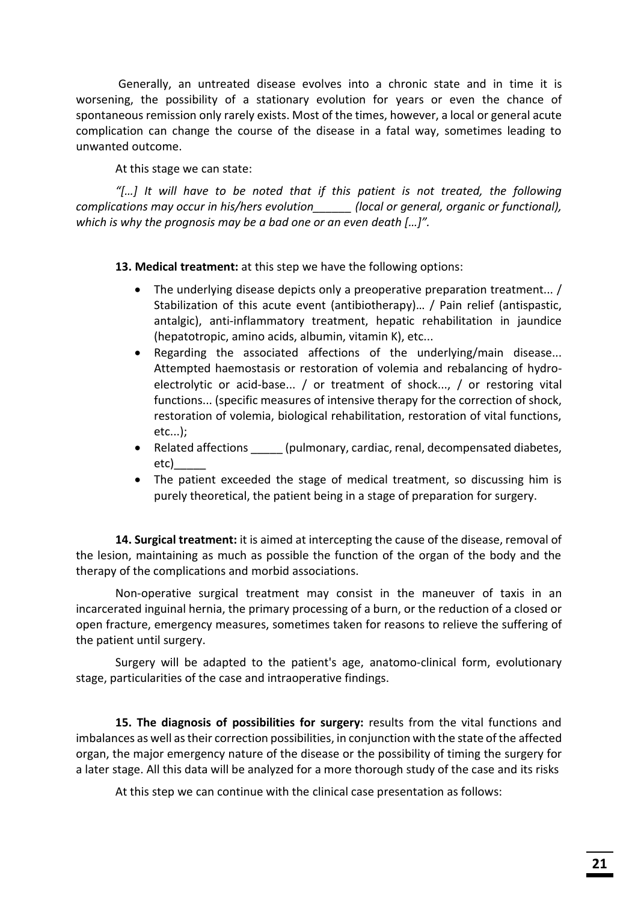Generally, an untreated disease evolves into a chronic state and in time it is worsening, the possibility of a stationary evolution for years or even the chance of spontaneous remission only rarely exists. Most of the times, however, a local or general acute complication can change the course of the disease in a fatal way, sometimes leading to unwanted outcome.

At this stage we can state:

*"[…] It will have to be noted that if this patient is not treated, the following complications may occur in his/hers evolution\_\_\_\_\_\_ (local or general, organic or functional), which is why the prognosis may be a bad one or an even death […]".* 

**13. Medical treatment:** at this step we have the following options:

- The underlying disease depicts only a preoperative preparation treatment... / Stabilization of this acute event (antibiotherapy)… / Pain relief (antispastic, antalgic), anti-inflammatory treatment, hepatic rehabilitation in jaundice (hepatotropic, amino acids, albumin, vitamin K), etc...
- Regarding the associated affections of the underlying/main disease... Attempted haemostasis or restoration of volemia and rebalancing of hydroelectrolytic or acid-base... / or treatment of shock..., / or restoring vital functions... (specific measures of intensive therapy for the correction of shock, restoration of volemia, biological rehabilitation, restoration of vital functions, etc...);
- Related affections (pulmonary, cardiac, renal, decompensated diabetes, etc)\_\_\_\_\_
- The patient exceeded the stage of medical treatment, so discussing him is purely theoretical, the patient being in a stage of preparation for surgery.

**14. Surgical treatment:** it is aimed at intercepting the cause of the disease, removal of the lesion, maintaining as much as possible the function of the organ of the body and the therapy of the complications and morbid associations.

Non-operative surgical treatment may consist in the maneuver of taxis in an incarcerated inguinal hernia, the primary processing of a burn, or the reduction of a closed or open fracture, emergency measures, sometimes taken for reasons to relieve the suffering of the patient until surgery.

Surgery will be adapted to the patient's age, anatomo-clinical form, evolutionary stage, particularities of the case and intraoperative findings.

**15. The diagnosis of possibilities for surgery:** results from the vital functions and imbalances as well as their correction possibilities, in conjunction with the state of the affected organ, the major emergency nature of the disease or the possibility of timing the surgery for a later stage. All this data will be analyzed for a more thorough study of the case and its risks

At this step we can continue with the clinical case presentation as follows: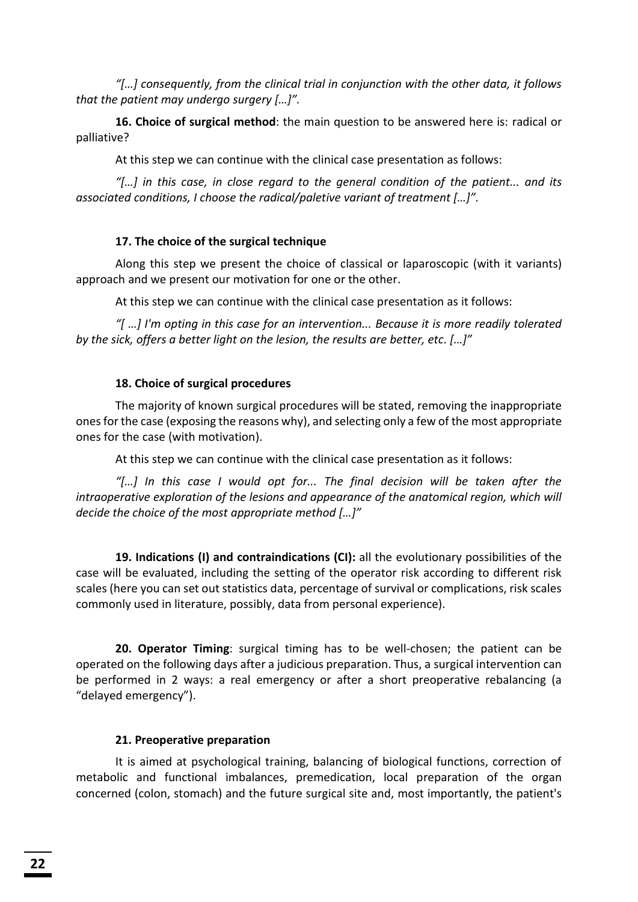*"[…] consequently, from the clinical trial in conjunction with the other data, it follows that the patient may undergo surgery […]".* 

**16. Choice of surgical method**: the main question to be answered here is: radical or palliative?

At this step we can continue with the clinical case presentation as follows:

*"[…] in this case, in close regard to the general condition of the patient... and its associated conditions, I choose the radical/paletive variant of treatment […]".* 

## **17. The choice of the surgical technique**

Along this step we present the choice of classical or laparoscopic (with it variants) approach and we present our motivation for one or the other.

At this step we can continue with the clinical case presentation as it follows:

*"[ …] I'm opting in this case for an intervention... Because it is more readily tolerated by the sick, offers a better light on the lesion, the results are better, etc. […]"* 

## **18. Choice of surgical procedures**

The majority of known surgical procedures will be stated, removing the inappropriate ones for the case (exposing the reasons why), and selecting only a few of the most appropriate ones for the case (with motivation).

At this step we can continue with the clinical case presentation as it follows:

*"[…] In this case I would opt for... The final decision will be taken after the intraoperative exploration of the lesions and appearance of the anatomical region, which will decide the choice of the most appropriate method […]"* 

**19. Indications (I) and contraindications (CI):** all the evolutionary possibilities of the case will be evaluated, including the setting of the operator risk according to different risk scales (here you can set out statistics data, percentage of survival or complications, risk scales commonly used in literature, possibly, data from personal experience).

**20. Operator Timing**: surgical timing has to be well-chosen; the patient can be operated on the following days after a judicious preparation. Thus, a surgical intervention can be performed in 2 ways: a real emergency or after a short preoperative rebalancing (a "delayed emergency").

#### **21. Preoperative preparation**

It is aimed at psychological training, balancing of biological functions, correction of metabolic and functional imbalances, premedication, local preparation of the organ concerned (colon, stomach) and the future surgical site and, most importantly, the patient's